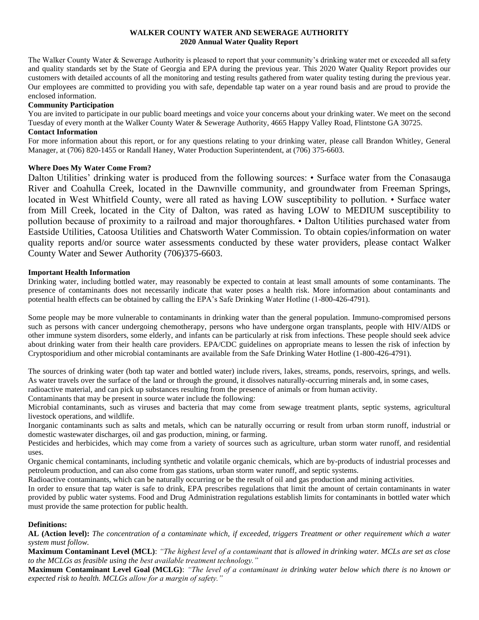# **WALKER COUNTY WATER AND SEWERAGE AUTHORITY 2020 Annual Water Quality Report**

The Walker County Water & Sewerage Authority is pleased to report that your community's drinking water met or exceeded all safety and quality standards set by the State of Georgia and EPA during the previous year. This 2020 Water Quality Report provides our customers with detailed accounts of all the monitoring and testing results gathered from water quality testing during the previous year. Our employees are committed to providing you with safe, dependable tap water on a year round basis and are proud to provide the enclosed information.

# **Community Participation**

You are invited to participate in our public board meetings and voice your concerns about your drinking water. We meet on the second Tuesday of every month at the Walker County Water & Sewerage Authority, 4665 Happy Valley Road, Flintstone GA 30725. **Contact Information**

For more information about this report, or for any questions relating to your drinking water, please call Brandon Whitley, General Manager, at (706) 820-1455 or Randall Haney, Water Production Superintendent, at (706) 375-6603.

# **Where Does My Water Come From?**

Dalton Utilities' drinking water is produced from the following sources: • Surface water from the Conasauga River and Coahulla Creek, located in the Dawnville community, and groundwater from Freeman Springs, located in West Whitfield County, were all rated as having LOW susceptibility to pollution. • Surface water from Mill Creek, located in the City of Dalton, was rated as having LOW to MEDIUM susceptibility to pollution because of proximity to a railroad and major thoroughfares. • Dalton Utilities purchased water from Eastside Utilities, Catoosa Utilities and Chatsworth Water Commission. To obtain copies/information on water quality reports and/or source water assessments conducted by these water providers, please contact Walker County Water and Sewer Authority (706)375-6603.

# **Important Health Information**

Drinking water, including bottled water, may reasonably be expected to contain at least small amounts of some contaminants. The presence of contaminants does not necessarily indicate that water poses a health risk. More information about contaminants and potential health effects can be obtained by calling the EPA's Safe Drinking Water Hotline (1-800-426-4791).

Some people may be more vulnerable to contaminants in drinking water than the general population. Immuno-compromised persons such as persons with cancer undergoing chemotherapy, persons who have undergone organ transplants, people with HIV/AIDS or other immune system disorders, some elderly, and infants can be particularly at risk from infections. These people should seek advice about drinking water from their health care providers. EPA/CDC guidelines on appropriate means to lessen the risk of infection by Cryptosporidium and other microbial contaminants are available from the Safe Drinking Water Hotline (1-800-426-4791).

The sources of drinking water (both tap water and bottled water) include rivers, lakes, streams, ponds, reservoirs, springs, and wells. As water travels over the surface of the land or through the ground, it dissolves naturally-occurring minerals and, in some cases,

radioactive material, and can pick up substances resulting from the presence of animals or from human activity.

Contaminants that may be present in source water include the following:

Microbial contaminants, such as viruses and bacteria that may come from sewage treatment plants, septic systems, agricultural livestock operations, and wildlife.

Inorganic contaminants such as salts and metals, which can be naturally occurring or result from urban storm runoff, industrial or domestic wastewater discharges, oil and gas production, mining, or farming.

Pesticides and herbicides, which may come from a variety of sources such as agriculture, urban storm water runoff, and residential uses.

Organic chemical contaminants, including synthetic and volatile organic chemicals, which are by-products of industrial processes and petroleum production, and can also come from gas stations, urban storm water runoff, and septic systems.

Radioactive contaminants, which can be naturally occurring or be the result of oil and gas production and mining activities.

In order to ensure that tap water is safe to drink, EPA prescribes regulations that limit the amount of certain contaminants in water provided by public water systems. Food and Drug Administration regulations establish limits for contaminants in bottled water which must provide the same protection for public health.

### **Definitions:**

**AL (Action level):** *The concentration of a contaminate which, if exceeded, triggers Treatment or other requirement which a water system must follow.*

**Maximum Contaminant Level (MCL)**: *"The highest level of a contaminant that is allowed in drinking water. MCLs are set as close to the MCLGs as feasible using the best available treatment technology."*

**Maximum Contaminant Level Goal (MCLG)**: *"The level of a contaminant in drinking water below which there is no known or expected risk to health. MCLGs allow for a margin of safety."*